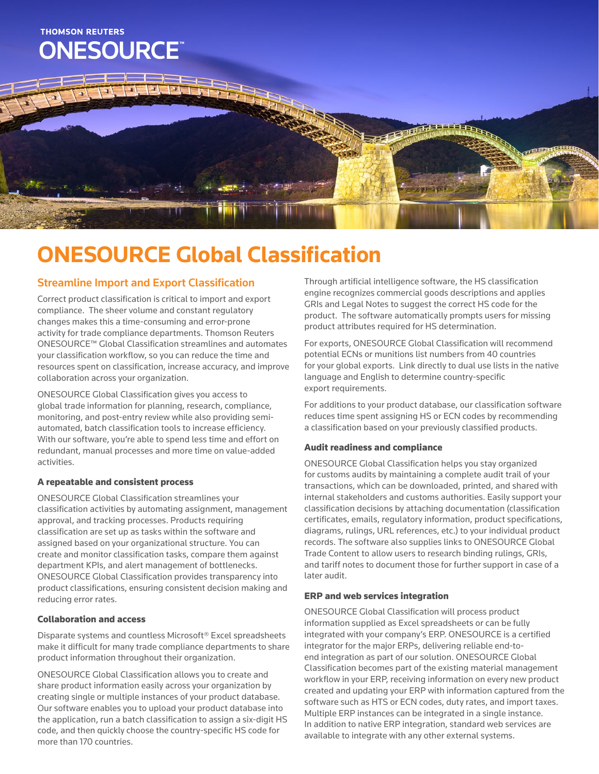

# **ONESOURCE Global Classification**

### Streamline Import and Export Classification

Correct product classification is critical to import and export compliance. The sheer volume and constant regulatory changes makes this a time-consuming and error-prone activity for trade compliance departments. Thomson Reuters ONESOURCE™ Global Classification streamlines and automates your classification workflow, so you can reduce the time and resources spent on classification, increase accuracy, and improve collaboration across your organization.

ONESOURCE Global Classification gives you access to global trade information for planning, research, compliance, monitoring, and post-entry review while also providing semiautomated, batch classification tools to increase efficiency. With our software, you're able to spend less time and effort on redundant, manual processes and more time on value-added activities.

#### A repeatable and consistent process

ONESOURCE Global Classification streamlines your classification activities by automating assignment, management approval, and tracking processes. Products requiring classification are set up as tasks within the software and assigned based on your organizational structure. You can create and monitor classification tasks, compare them against department KPIs, and alert management of bottlenecks. ONESOURCE Global Classification provides transparency into product classifications, ensuring consistent decision making and reducing error rates.

#### Collaboration and access

Disparate systems and countless Microsoft® Excel spreadsheets make it difficult for many trade compliance departments to share product information throughout their organization.

ONESOURCE Global Classification allows you to create and share product information easily across your organization by creating single or multiple instances of your product database. Our software enables you to upload your product database into the application, run a batch classification to assign a six-digit HS code, and then quickly choose the country-specific HS code for more than 170 countries.

Through artificial intelligence software, the HS classification engine recognizes commercial goods descriptions and applies GRIs and Legal Notes to suggest the correct HS code for the product. The software automatically prompts users for missing product attributes required for HS determination.

For exports, ONESOURCE Global Classification will recommend potential ECNs or munitions list numbers from 40 countries for your global exports. Link directly to dual use lists in the native language and English to determine country-specific export requirements.

For additions to your product database, our classification software reduces time spent assigning HS or ECN codes by recommending a classification based on your previously classified products.

#### Audit readiness and compliance

ONESOURCE Global Classification helps you stay organized for customs audits by maintaining a complete audit trail of your transactions, which can be downloaded, printed, and shared with internal stakeholders and customs authorities. Easily support your classification decisions by attaching documentation (classification certificates, emails, regulatory information, product specifications, diagrams, rulings, URL references, etc.) to your individual product records. The software also supplies links to ONESOURCE Global Trade Content to allow users to research binding rulings, GRIs, and tariff notes to document those for further support in case of a later audit.

#### ERP and web services integration

ONESOURCE Global Classification will process product information supplied as Excel spreadsheets or can be fully integrated with your company's ERP. ONESOURCE is a certified integrator for the major ERPs, delivering reliable end-toend integration as part of our solution. ONESOURCE Global Classification becomes part of the existing material management workflow in your ERP, receiving information on every new product created and updating your ERP with information captured from the software such as HTS or ECN codes, duty rates, and import taxes. Multiple ERP instances can be integrated in a single instance. In addition to native ERP integration, standard web services are available to integrate with any other external systems.